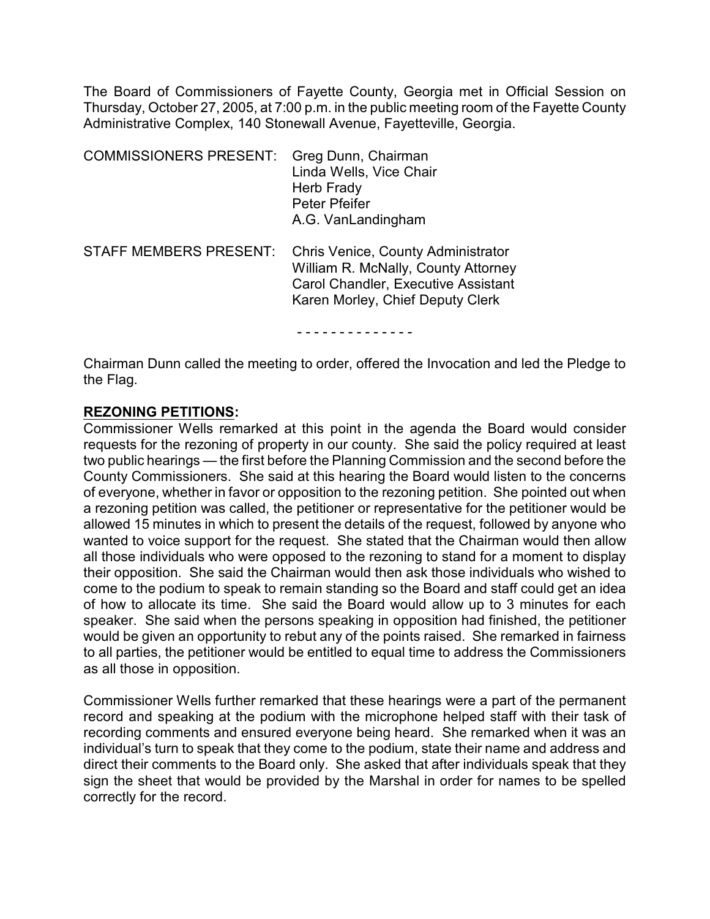The Board of Commissioners of Fayette County, Georgia met in Official Session on Thursday, October 27, 2005, at 7:00 p.m. in the public meeting room of the Fayette County Administrative Complex, 140 Stonewall Avenue, Fayetteville, Georgia.

| <b>COMMISSIONERS PRESENT:</b> | Greg Dunn, Chairman<br>Linda Wells, Vice Chair<br>Herb Frady<br><b>Peter Pfeifer</b><br>A.G. VanLandingham                                                  |
|-------------------------------|-------------------------------------------------------------------------------------------------------------------------------------------------------------|
| <b>STAFF MEMBERS PRESENT:</b> | <b>Chris Venice, County Administrator</b><br>William R. McNally, County Attorney<br>Carol Chandler, Executive Assistant<br>Karen Morley, Chief Deputy Clerk |

- - - - - - - - - - - - - -

Chairman Dunn called the meeting to order, offered the Invocation and led the Pledge to the Flag.

#### **REZONING PETITIONS:**

Commissioner Wells remarked at this point in the agenda the Board would consider requests for the rezoning of property in our county. She said the policy required at least two public hearings — the first before the Planning Commission and the second before the County Commissioners. She said at this hearing the Board would listen to the concerns of everyone, whether in favor or opposition to the rezoning petition. She pointed out when a rezoning petition was called, the petitioner or representative for the petitioner would be allowed 15 minutes in which to present the details of the request, followed by anyone who wanted to voice support for the request. She stated that the Chairman would then allow all those individuals who were opposed to the rezoning to stand for a moment to display their opposition. She said the Chairman would then ask those individuals who wished to come to the podium to speak to remain standing so the Board and staff could get an idea of how to allocate its time. She said the Board would allow up to 3 minutes for each speaker. She said when the persons speaking in opposition had finished, the petitioner would be given an opportunity to rebut any of the points raised. She remarked in fairness to all parties, the petitioner would be entitled to equal time to address the Commissioners as all those in opposition.

Commissioner Wells further remarked that these hearings were a part of the permanent record and speaking at the podium with the microphone helped staff with their task of recording comments and ensured everyone being heard. She remarked when it was an individual's turn to speak that they come to the podium, state their name and address and direct their comments to the Board only. She asked that after individuals speak that they sign the sheet that would be provided by the Marshal in order for names to be spelled correctly for the record.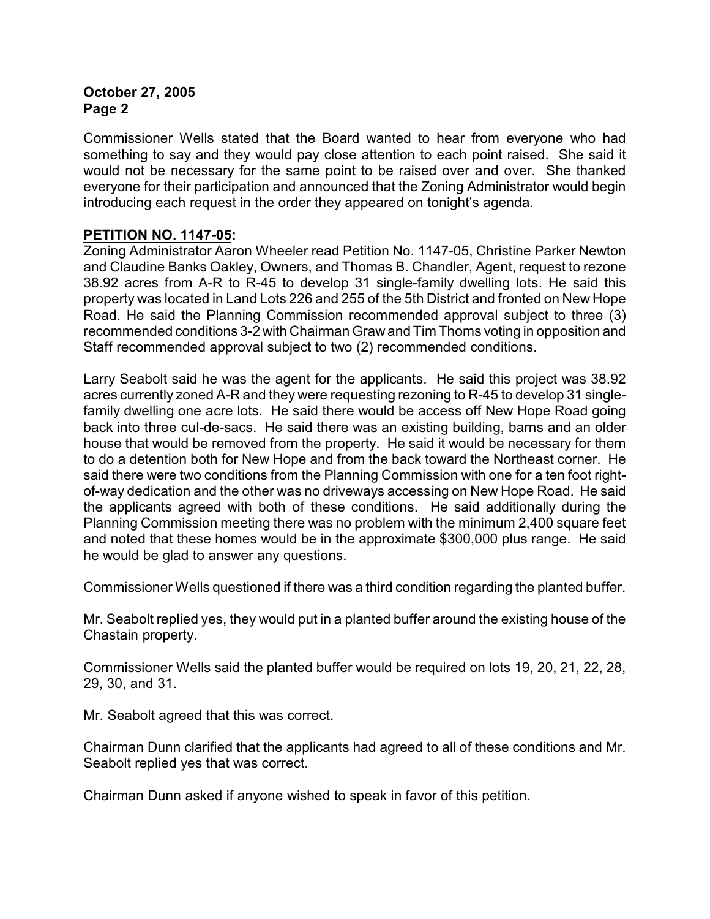Commissioner Wells stated that the Board wanted to hear from everyone who had something to say and they would pay close attention to each point raised. She said it would not be necessary for the same point to be raised over and over. She thanked everyone for their participation and announced that the Zoning Administrator would begin introducing each request in the order they appeared on tonight's agenda.

## **PETITION NO. 1147-05:**

Zoning Administrator Aaron Wheeler read Petition No. 1147-05, Christine Parker Newton and Claudine Banks Oakley, Owners, and Thomas B. Chandler, Agent, request to rezone 38.92 acres from A-R to R-45 to develop 31 single-family dwelling lots. He said this property was located in Land Lots 226 and 255 of the 5th District and fronted on New Hope Road. He said the Planning Commission recommended approval subject to three (3) recommended conditions 3-2 with Chairman Graw and Tim Thoms voting in opposition and Staff recommended approval subject to two (2) recommended conditions.

Larry Seabolt said he was the agent for the applicants. He said this project was 38.92 acres currently zoned A-R and they were requesting rezoning to R-45 to develop 31 singlefamily dwelling one acre lots. He said there would be access off New Hope Road going back into three cul-de-sacs. He said there was an existing building, barns and an older house that would be removed from the property. He said it would be necessary for them to do a detention both for New Hope and from the back toward the Northeast corner. He said there were two conditions from the Planning Commission with one for a ten foot rightof-way dedication and the other was no driveways accessing on New Hope Road. He said the applicants agreed with both of these conditions. He said additionally during the Planning Commission meeting there was no problem with the minimum 2,400 square feet and noted that these homes would be in the approximate \$300,000 plus range. He said he would be glad to answer any questions.

Commissioner Wells questioned if there was a third condition regarding the planted buffer.

Mr. Seabolt replied yes, they would put in a planted buffer around the existing house of the Chastain property.

Commissioner Wells said the planted buffer would be required on lots 19, 20, 21, 22, 28, 29, 30, and 31.

Mr. Seabolt agreed that this was correct.

Chairman Dunn clarified that the applicants had agreed to all of these conditions and Mr. Seabolt replied yes that was correct.

Chairman Dunn asked if anyone wished to speak in favor of this petition.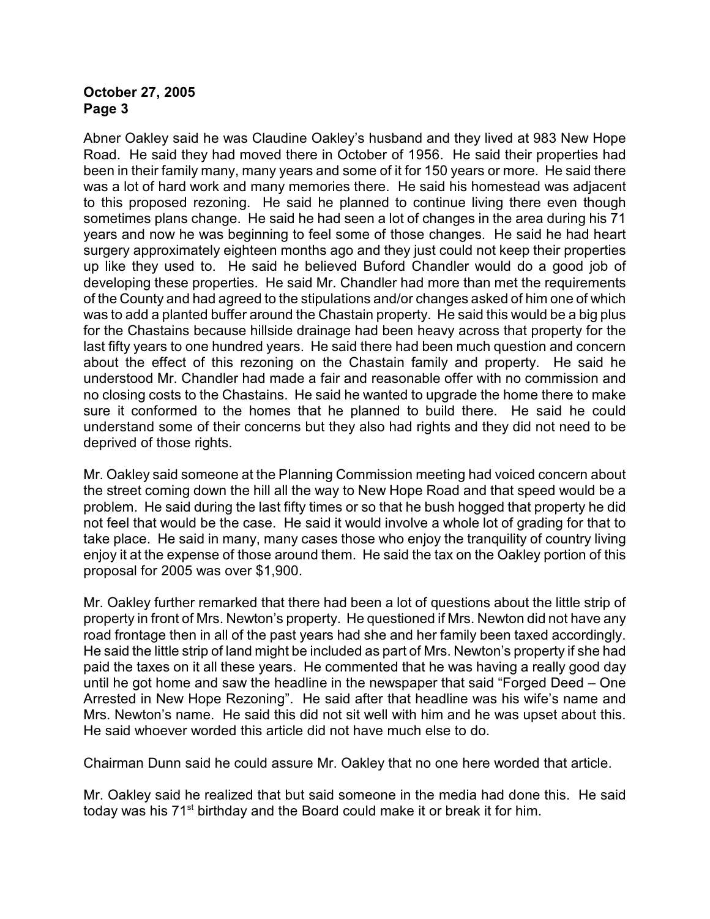Abner Oakley said he was Claudine Oakley's husband and they lived at 983 New Hope Road. He said they had moved there in October of 1956. He said their properties had been in their family many, many years and some of it for 150 years or more. He said there was a lot of hard work and many memories there. He said his homestead was adjacent to this proposed rezoning. He said he planned to continue living there even though sometimes plans change. He said he had seen a lot of changes in the area during his 71 years and now he was beginning to feel some of those changes. He said he had heart surgery approximately eighteen months ago and they just could not keep their properties up like they used to. He said he believed Buford Chandler would do a good job of developing these properties. He said Mr. Chandler had more than met the requirements of the County and had agreed to the stipulations and/or changes asked of him one of which was to add a planted buffer around the Chastain property. He said this would be a big plus for the Chastains because hillside drainage had been heavy across that property for the last fifty years to one hundred years. He said there had been much question and concern about the effect of this rezoning on the Chastain family and property. He said he understood Mr. Chandler had made a fair and reasonable offer with no commission and no closing costs to the Chastains. He said he wanted to upgrade the home there to make sure it conformed to the homes that he planned to build there. He said he could understand some of their concerns but they also had rights and they did not need to be deprived of those rights.

Mr. Oakley said someone at the Planning Commission meeting had voiced concern about the street coming down the hill all the way to New Hope Road and that speed would be a problem. He said during the last fifty times or so that he bush hogged that property he did not feel that would be the case. He said it would involve a whole lot of grading for that to take place. He said in many, many cases those who enjoy the tranquility of country living enjoy it at the expense of those around them. He said the tax on the Oakley portion of this proposal for 2005 was over \$1,900.

Mr. Oakley further remarked that there had been a lot of questions about the little strip of property in front of Mrs. Newton's property. He questioned if Mrs. Newton did not have any road frontage then in all of the past years had she and her family been taxed accordingly. He said the little strip of land might be included as part of Mrs. Newton's property if she had paid the taxes on it all these years. He commented that he was having a really good day until he got home and saw the headline in the newspaper that said "Forged Deed – One Arrested in New Hope Rezoning". He said after that headline was his wife's name and Mrs. Newton's name. He said this did not sit well with him and he was upset about this. He said whoever worded this article did not have much else to do.

Chairman Dunn said he could assure Mr. Oakley that no one here worded that article.

Mr. Oakley said he realized that but said someone in the media had done this. He said today was his  $71<sup>st</sup>$  birthday and the Board could make it or break it for him.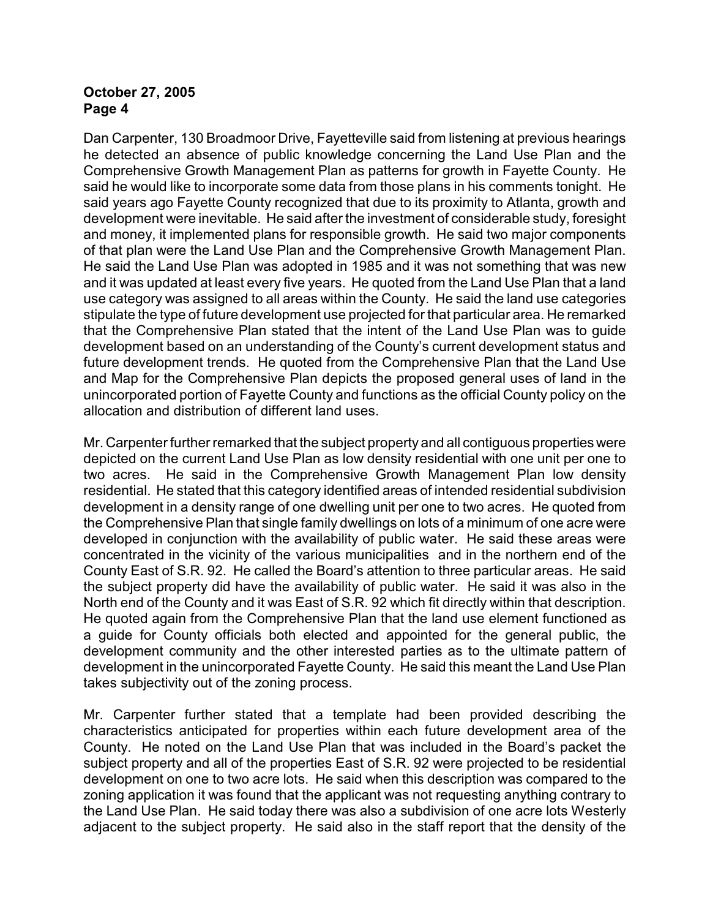Dan Carpenter, 130 Broadmoor Drive, Fayetteville said from listening at previous hearings he detected an absence of public knowledge concerning the Land Use Plan and the Comprehensive Growth Management Plan as patterns for growth in Fayette County. He said he would like to incorporate some data from those plans in his comments tonight. He said years ago Fayette County recognized that due to its proximity to Atlanta, growth and development were inevitable. He said after the investment of considerable study, foresight and money, it implemented plans for responsible growth. He said two major components of that plan were the Land Use Plan and the Comprehensive Growth Management Plan. He said the Land Use Plan was adopted in 1985 and it was not something that was new and it was updated at least every five years. He quoted from the Land Use Plan that a land use category was assigned to all areas within the County. He said the land use categories stipulate the type of future development use projected for that particular area. He remarked that the Comprehensive Plan stated that the intent of the Land Use Plan was to guide development based on an understanding of the County's current development status and future development trends. He quoted from the Comprehensive Plan that the Land Use and Map for the Comprehensive Plan depicts the proposed general uses of land in the unincorporated portion of Fayette County and functions as the official County policy on the allocation and distribution of different land uses.

Mr. Carpenter further remarked that the subject property and all contiguous properties were depicted on the current Land Use Plan as low density residential with one unit per one to two acres. He said in the Comprehensive Growth Management Plan low density residential. He stated that this category identified areas of intended residential subdivision development in a density range of one dwelling unit per one to two acres. He quoted from the Comprehensive Plan that single family dwellings on lots of a minimum of one acre were developed in conjunction with the availability of public water. He said these areas were concentrated in the vicinity of the various municipalities and in the northern end of the County East of S.R. 92. He called the Board's attention to three particular areas. He said the subject property did have the availability of public water. He said it was also in the North end of the County and it was East of S.R. 92 which fit directly within that description. He quoted again from the Comprehensive Plan that the land use element functioned as a guide for County officials both elected and appointed for the general public, the development community and the other interested parties as to the ultimate pattern of development in the unincorporated Fayette County. He said this meant the Land Use Plan takes subjectivity out of the zoning process.

Mr. Carpenter further stated that a template had been provided describing the characteristics anticipated for properties within each future development area of the County. He noted on the Land Use Plan that was included in the Board's packet the subject property and all of the properties East of S.R. 92 were projected to be residential development on one to two acre lots. He said when this description was compared to the zoning application it was found that the applicant was not requesting anything contrary to the Land Use Plan. He said today there was also a subdivision of one acre lots Westerly adjacent to the subject property. He said also in the staff report that the density of the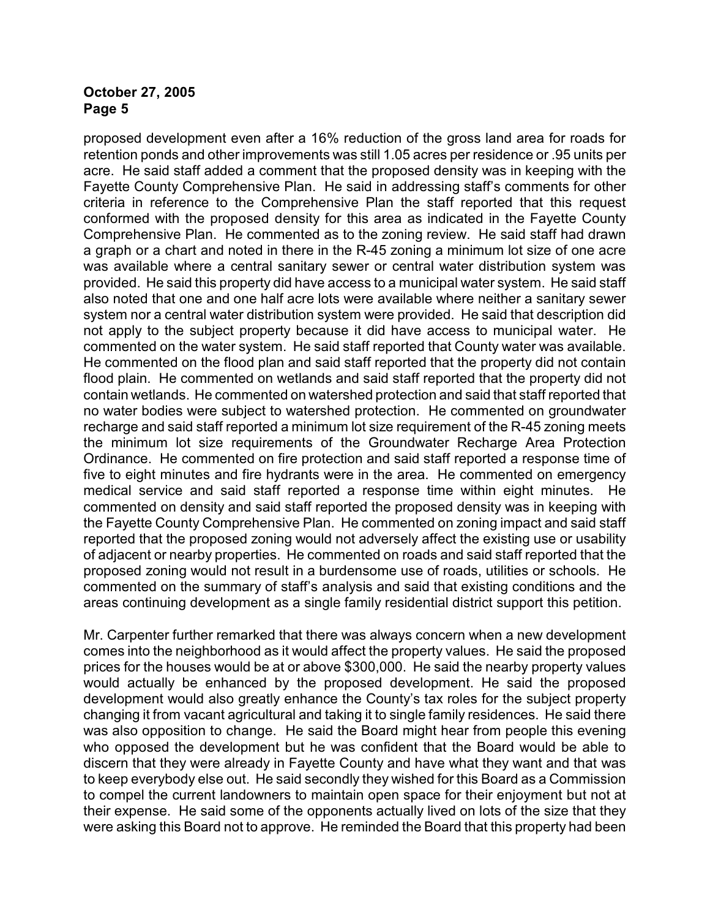proposed development even after a 16% reduction of the gross land area for roads for retention ponds and other improvements was still 1.05 acres per residence or .95 units per acre. He said staff added a comment that the proposed density was in keeping with the Fayette County Comprehensive Plan. He said in addressing staff's comments for other criteria in reference to the Comprehensive Plan the staff reported that this request conformed with the proposed density for this area as indicated in the Fayette County Comprehensive Plan. He commented as to the zoning review. He said staff had drawn a graph or a chart and noted in there in the R-45 zoning a minimum lot size of one acre was available where a central sanitary sewer or central water distribution system was provided. He said this property did have access to a municipal water system. He said staff also noted that one and one half acre lots were available where neither a sanitary sewer system nor a central water distribution system were provided. He said that description did not apply to the subject property because it did have access to municipal water. He commented on the water system. He said staff reported that County water was available. He commented on the flood plan and said staff reported that the property did not contain flood plain. He commented on wetlands and said staff reported that the property did not contain wetlands. He commented on watershed protection and said that staff reported that no water bodies were subject to watershed protection. He commented on groundwater recharge and said staff reported a minimum lot size requirement of the R-45 zoning meets the minimum lot size requirements of the Groundwater Recharge Area Protection Ordinance. He commented on fire protection and said staff reported a response time of five to eight minutes and fire hydrants were in the area. He commented on emergency medical service and said staff reported a response time within eight minutes. He commented on density and said staff reported the proposed density was in keeping with the Fayette County Comprehensive Plan. He commented on zoning impact and said staff reported that the proposed zoning would not adversely affect the existing use or usability of adjacent or nearby properties. He commented on roads and said staff reported that the proposed zoning would not result in a burdensome use of roads, utilities or schools. He commented on the summary of staff's analysis and said that existing conditions and the areas continuing development as a single family residential district support this petition.

Mr. Carpenter further remarked that there was always concern when a new development comes into the neighborhood as it would affect the property values. He said the proposed prices for the houses would be at or above \$300,000. He said the nearby property values would actually be enhanced by the proposed development. He said the proposed development would also greatly enhance the County's tax roles for the subject property changing it from vacant agricultural and taking it to single family residences. He said there was also opposition to change. He said the Board might hear from people this evening who opposed the development but he was confident that the Board would be able to discern that they were already in Fayette County and have what they want and that was to keep everybody else out. He said secondly they wished for this Board as a Commission to compel the current landowners to maintain open space for their enjoyment but not at their expense. He said some of the opponents actually lived on lots of the size that they were asking this Board not to approve. He reminded the Board that this property had been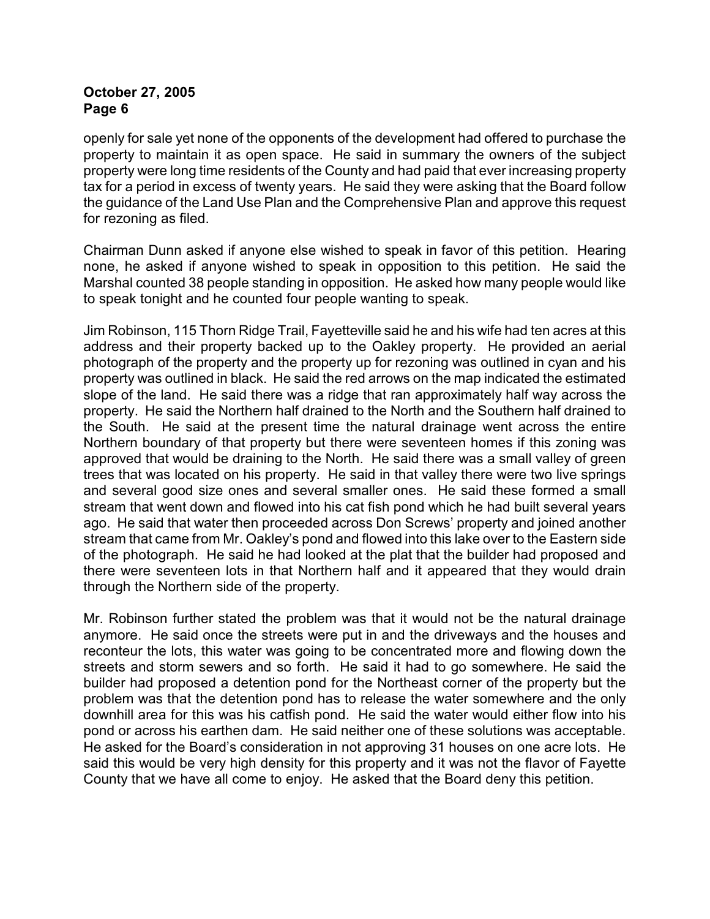openly for sale yet none of the opponents of the development had offered to purchase the property to maintain it as open space. He said in summary the owners of the subject property were long time residents of the County and had paid that ever increasing property tax for a period in excess of twenty years. He said they were asking that the Board follow the guidance of the Land Use Plan and the Comprehensive Plan and approve this request for rezoning as filed.

Chairman Dunn asked if anyone else wished to speak in favor of this petition. Hearing none, he asked if anyone wished to speak in opposition to this petition. He said the Marshal counted 38 people standing in opposition. He asked how many people would like to speak tonight and he counted four people wanting to speak.

Jim Robinson, 115 Thorn Ridge Trail, Fayetteville said he and his wife had ten acres at this address and their property backed up to the Oakley property. He provided an aerial photograph of the property and the property up for rezoning was outlined in cyan and his property was outlined in black. He said the red arrows on the map indicated the estimated slope of the land. He said there was a ridge that ran approximately half way across the property. He said the Northern half drained to the North and the Southern half drained to the South. He said at the present time the natural drainage went across the entire Northern boundary of that property but there were seventeen homes if this zoning was approved that would be draining to the North. He said there was a small valley of green trees that was located on his property. He said in that valley there were two live springs and several good size ones and several smaller ones. He said these formed a small stream that went down and flowed into his cat fish pond which he had built several years ago. He said that water then proceeded across Don Screws' property and joined another stream that came from Mr. Oakley's pond and flowed into this lake over to the Eastern side of the photograph. He said he had looked at the plat that the builder had proposed and there were seventeen lots in that Northern half and it appeared that they would drain through the Northern side of the property.

Mr. Robinson further stated the problem was that it would not be the natural drainage anymore. He said once the streets were put in and the driveways and the houses and reconteur the lots, this water was going to be concentrated more and flowing down the streets and storm sewers and so forth. He said it had to go somewhere. He said the builder had proposed a detention pond for the Northeast corner of the property but the problem was that the detention pond has to release the water somewhere and the only downhill area for this was his catfish pond. He said the water would either flow into his pond or across his earthen dam. He said neither one of these solutions was acceptable. He asked for the Board's consideration in not approving 31 houses on one acre lots. He said this would be very high density for this property and it was not the flavor of Fayette County that we have all come to enjoy. He asked that the Board deny this petition.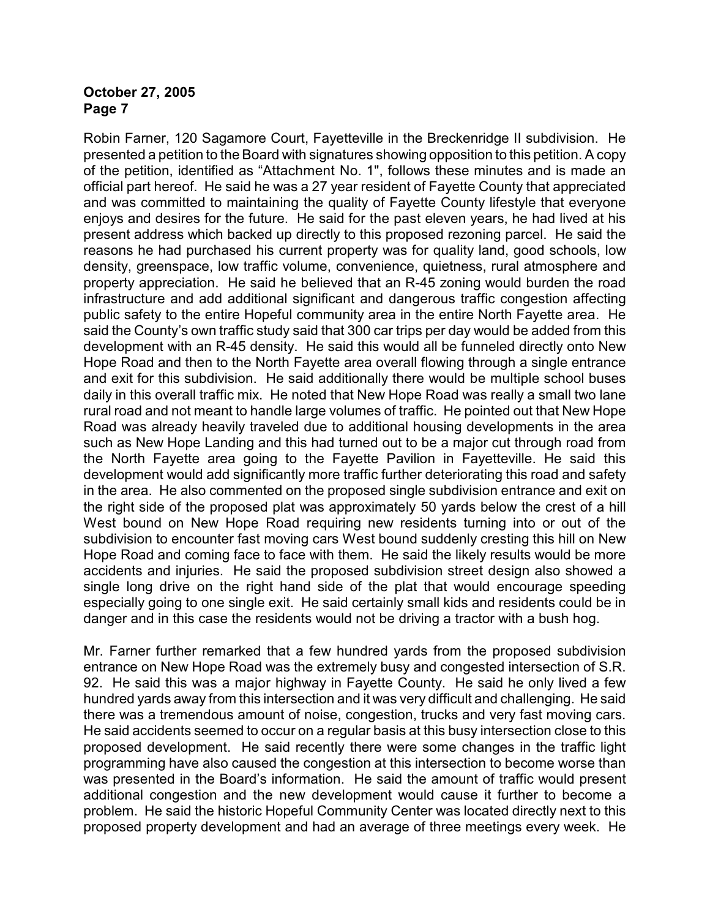Robin Farner, 120 Sagamore Court, Fayetteville in the Breckenridge II subdivision. He presented a petition to the Board with signatures showing opposition to this petition. A copy of the petition, identified as "Attachment No. 1", follows these minutes and is made an official part hereof. He said he was a 27 year resident of Fayette County that appreciated and was committed to maintaining the quality of Fayette County lifestyle that everyone enjoys and desires for the future. He said for the past eleven years, he had lived at his present address which backed up directly to this proposed rezoning parcel. He said the reasons he had purchased his current property was for quality land, good schools, low density, greenspace, low traffic volume, convenience, quietness, rural atmosphere and property appreciation. He said he believed that an R-45 zoning would burden the road infrastructure and add additional significant and dangerous traffic congestion affecting public safety to the entire Hopeful community area in the entire North Fayette area. He said the County's own traffic study said that 300 car trips per day would be added from this development with an R-45 density. He said this would all be funneled directly onto New Hope Road and then to the North Fayette area overall flowing through a single entrance and exit for this subdivision. He said additionally there would be multiple school buses daily in this overall traffic mix. He noted that New Hope Road was really a small two lane rural road and not meant to handle large volumes of traffic. He pointed out that New Hope Road was already heavily traveled due to additional housing developments in the area such as New Hope Landing and this had turned out to be a major cut through road from the North Fayette area going to the Fayette Pavilion in Fayetteville. He said this development would add significantly more traffic further deteriorating this road and safety in the area. He also commented on the proposed single subdivision entrance and exit on the right side of the proposed plat was approximately 50 yards below the crest of a hill West bound on New Hope Road requiring new residents turning into or out of the subdivision to encounter fast moving cars West bound suddenly cresting this hill on New Hope Road and coming face to face with them. He said the likely results would be more accidents and injuries. He said the proposed subdivision street design also showed a single long drive on the right hand side of the plat that would encourage speeding especially going to one single exit. He said certainly small kids and residents could be in danger and in this case the residents would not be driving a tractor with a bush hog.

Mr. Farner further remarked that a few hundred yards from the proposed subdivision entrance on New Hope Road was the extremely busy and congested intersection of S.R. 92. He said this was a major highway in Fayette County. He said he only lived a few hundred yards away from this intersection and it was very difficult and challenging. He said there was a tremendous amount of noise, congestion, trucks and very fast moving cars. He said accidents seemed to occur on a regular basis at this busy intersection close to this proposed development. He said recently there were some changes in the traffic light programming have also caused the congestion at this intersection to become worse than was presented in the Board's information. He said the amount of traffic would present additional congestion and the new development would cause it further to become a problem. He said the historic Hopeful Community Center was located directly next to this proposed property development and had an average of three meetings every week. He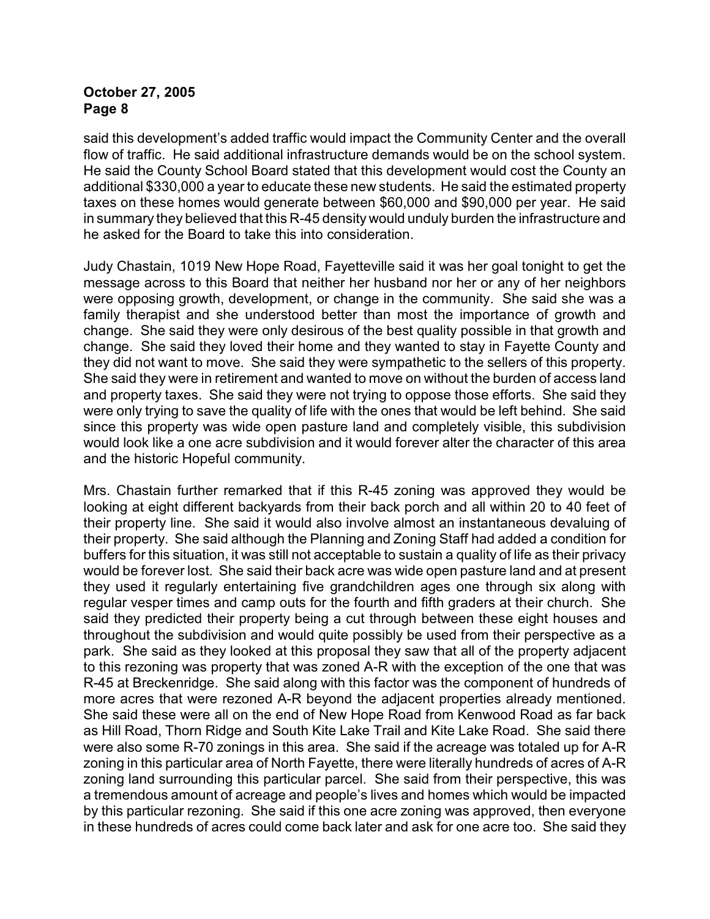said this development's added traffic would impact the Community Center and the overall flow of traffic. He said additional infrastructure demands would be on the school system. He said the County School Board stated that this development would cost the County an additional \$330,000 a year to educate these new students. He said the estimated property taxes on these homes would generate between \$60,000 and \$90,000 per year. He said in summary they believed that this R-45 density would unduly burden the infrastructure and he asked for the Board to take this into consideration.

Judy Chastain, 1019 New Hope Road, Fayetteville said it was her goal tonight to get the message across to this Board that neither her husband nor her or any of her neighbors were opposing growth, development, or change in the community. She said she was a family therapist and she understood better than most the importance of growth and change. She said they were only desirous of the best quality possible in that growth and change. She said they loved their home and they wanted to stay in Fayette County and they did not want to move. She said they were sympathetic to the sellers of this property. She said they were in retirement and wanted to move on without the burden of access land and property taxes. She said they were not trying to oppose those efforts. She said they were only trying to save the quality of life with the ones that would be left behind. She said since this property was wide open pasture land and completely visible, this subdivision would look like a one acre subdivision and it would forever alter the character of this area and the historic Hopeful community.

Mrs. Chastain further remarked that if this R-45 zoning was approved they would be looking at eight different backyards from their back porch and all within 20 to 40 feet of their property line. She said it would also involve almost an instantaneous devaluing of their property. She said although the Planning and Zoning Staff had added a condition for buffers for this situation, it was still not acceptable to sustain a quality of life as their privacy would be forever lost. She said their back acre was wide open pasture land and at present they used it regularly entertaining five grandchildren ages one through six along with regular vesper times and camp outs for the fourth and fifth graders at their church. She said they predicted their property being a cut through between these eight houses and throughout the subdivision and would quite possibly be used from their perspective as a park. She said as they looked at this proposal they saw that all of the property adjacent to this rezoning was property that was zoned A-R with the exception of the one that was R-45 at Breckenridge. She said along with this factor was the component of hundreds of more acres that were rezoned A-R beyond the adjacent properties already mentioned. She said these were all on the end of New Hope Road from Kenwood Road as far back as Hill Road, Thorn Ridge and South Kite Lake Trail and Kite Lake Road. She said there were also some R-70 zonings in this area. She said if the acreage was totaled up for A-R zoning in this particular area of North Fayette, there were literally hundreds of acres of A-R zoning land surrounding this particular parcel. She said from their perspective, this was a tremendous amount of acreage and people's lives and homes which would be impacted by this particular rezoning. She said if this one acre zoning was approved, then everyone in these hundreds of acres could come back later and ask for one acre too. She said they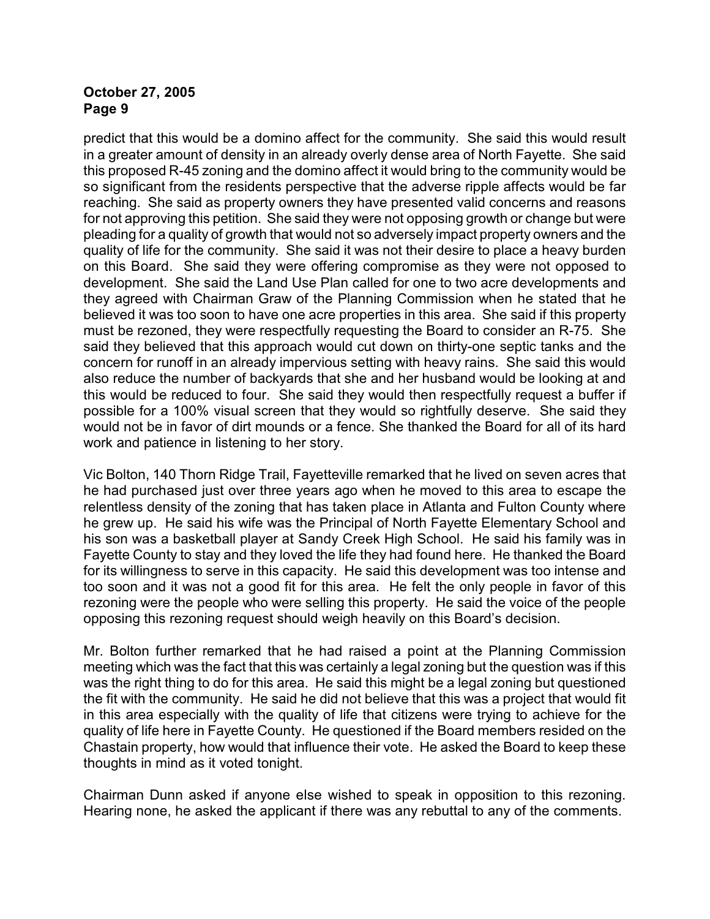predict that this would be a domino affect for the community. She said this would result in a greater amount of density in an already overly dense area of North Fayette. She said this proposed R-45 zoning and the domino affect it would bring to the community would be so significant from the residents perspective that the adverse ripple affects would be far reaching. She said as property owners they have presented valid concerns and reasons for not approving this petition. She said they were not opposing growth or change but were pleading for a quality of growth that would not so adversely impact property owners and the quality of life for the community. She said it was not their desire to place a heavy burden on this Board. She said they were offering compromise as they were not opposed to development. She said the Land Use Plan called for one to two acre developments and they agreed with Chairman Graw of the Planning Commission when he stated that he believed it was too soon to have one acre properties in this area. She said if this property must be rezoned, they were respectfully requesting the Board to consider an R-75. She said they believed that this approach would cut down on thirty-one septic tanks and the concern for runoff in an already impervious setting with heavy rains. She said this would also reduce the number of backyards that she and her husband would be looking at and this would be reduced to four. She said they would then respectfully request a buffer if possible for a 100% visual screen that they would so rightfully deserve. She said they would not be in favor of dirt mounds or a fence. She thanked the Board for all of its hard work and patience in listening to her story.

Vic Bolton, 140 Thorn Ridge Trail, Fayetteville remarked that he lived on seven acres that he had purchased just over three years ago when he moved to this area to escape the relentless density of the zoning that has taken place in Atlanta and Fulton County where he grew up. He said his wife was the Principal of North Fayette Elementary School and his son was a basketball player at Sandy Creek High School. He said his family was in Fayette County to stay and they loved the life they had found here. He thanked the Board for its willingness to serve in this capacity. He said this development was too intense and too soon and it was not a good fit for this area. He felt the only people in favor of this rezoning were the people who were selling this property. He said the voice of the people opposing this rezoning request should weigh heavily on this Board's decision.

Mr. Bolton further remarked that he had raised a point at the Planning Commission meeting which was the fact that this was certainly a legal zoning but the question was if this was the right thing to do for this area. He said this might be a legal zoning but questioned the fit with the community. He said he did not believe that this was a project that would fit in this area especially with the quality of life that citizens were trying to achieve for the quality of life here in Fayette County. He questioned if the Board members resided on the Chastain property, how would that influence their vote. He asked the Board to keep these thoughts in mind as it voted tonight.

Chairman Dunn asked if anyone else wished to speak in opposition to this rezoning. Hearing none, he asked the applicant if there was any rebuttal to any of the comments.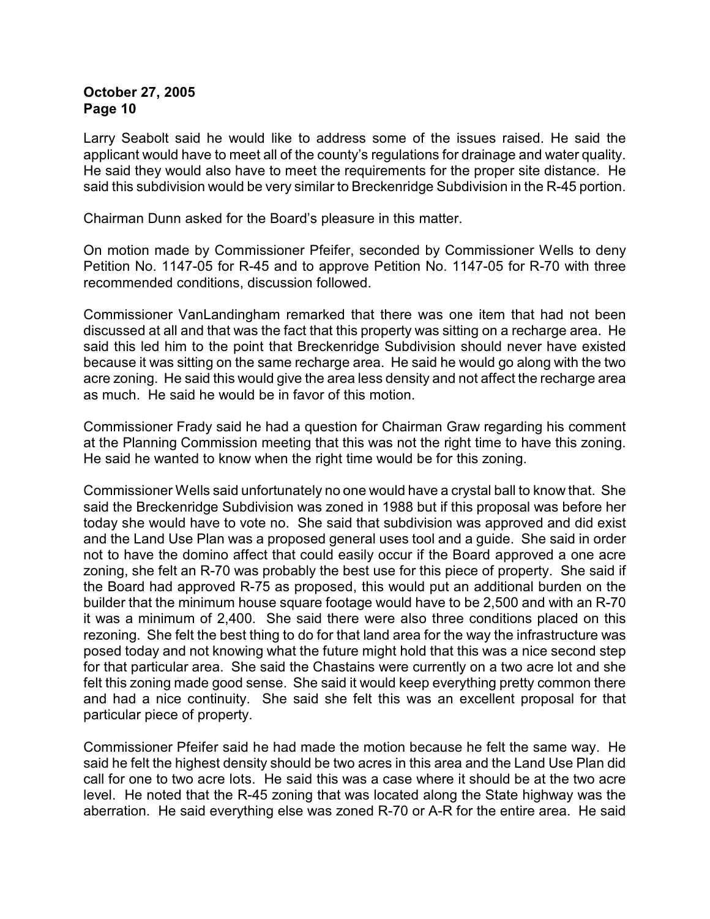Larry Seabolt said he would like to address some of the issues raised. He said the applicant would have to meet all of the county's regulations for drainage and water quality. He said they would also have to meet the requirements for the proper site distance. He said this subdivision would be very similar to Breckenridge Subdivision in the R-45 portion.

Chairman Dunn asked for the Board's pleasure in this matter.

On motion made by Commissioner Pfeifer, seconded by Commissioner Wells to deny Petition No. 1147-05 for R-45 and to approve Petition No. 1147-05 for R-70 with three recommended conditions, discussion followed.

Commissioner VanLandingham remarked that there was one item that had not been discussed at all and that was the fact that this property was sitting on a recharge area. He said this led him to the point that Breckenridge Subdivision should never have existed because it was sitting on the same recharge area. He said he would go along with the two acre zoning. He said this would give the area less density and not affect the recharge area as much. He said he would be in favor of this motion.

Commissioner Frady said he had a question for Chairman Graw regarding his comment at the Planning Commission meeting that this was not the right time to have this zoning. He said he wanted to know when the right time would be for this zoning.

Commissioner Wells said unfortunately no one would have a crystal ball to know that. She said the Breckenridge Subdivision was zoned in 1988 but if this proposal was before her today she would have to vote no. She said that subdivision was approved and did exist and the Land Use Plan was a proposed general uses tool and a guide. She said in order not to have the domino affect that could easily occur if the Board approved a one acre zoning, she felt an R-70 was probably the best use for this piece of property. She said if the Board had approved R-75 as proposed, this would put an additional burden on the builder that the minimum house square footage would have to be 2,500 and with an R-70 it was a minimum of 2,400. She said there were also three conditions placed on this rezoning. She felt the best thing to do for that land area for the way the infrastructure was posed today and not knowing what the future might hold that this was a nice second step for that particular area. She said the Chastains were currently on a two acre lot and she felt this zoning made good sense. She said it would keep everything pretty common there and had a nice continuity. She said she felt this was an excellent proposal for that particular piece of property.

Commissioner Pfeifer said he had made the motion because he felt the same way. He said he felt the highest density should be two acres in this area and the Land Use Plan did call for one to two acre lots. He said this was a case where it should be at the two acre level. He noted that the R-45 zoning that was located along the State highway was the aberration. He said everything else was zoned R-70 or A-R for the entire area. He said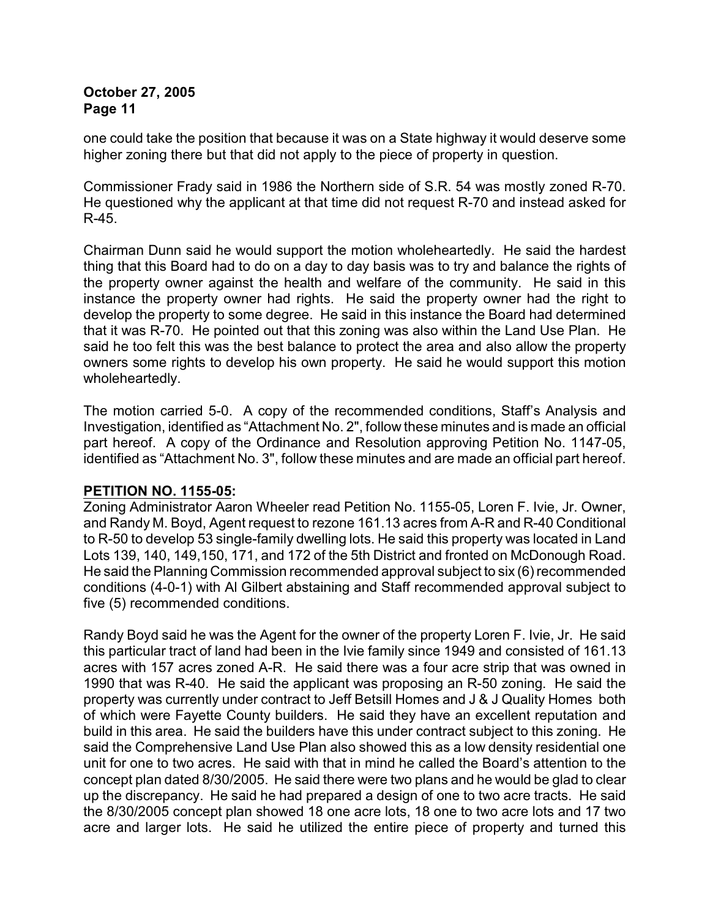one could take the position that because it was on a State highway it would deserve some higher zoning there but that did not apply to the piece of property in question.

Commissioner Frady said in 1986 the Northern side of S.R. 54 was mostly zoned R-70. He questioned why the applicant at that time did not request R-70 and instead asked for R-45.

Chairman Dunn said he would support the motion wholeheartedly. He said the hardest thing that this Board had to do on a day to day basis was to try and balance the rights of the property owner against the health and welfare of the community. He said in this instance the property owner had rights. He said the property owner had the right to develop the property to some degree. He said in this instance the Board had determined that it was R-70. He pointed out that this zoning was also within the Land Use Plan. He said he too felt this was the best balance to protect the area and also allow the property owners some rights to develop his own property. He said he would support this motion wholeheartedly.

The motion carried 5-0. A copy of the recommended conditions, Staff's Analysis and Investigation, identified as "Attachment No. 2", follow these minutes and is made an official part hereof. A copy of the Ordinance and Resolution approving Petition No. 1147-05, identified as "Attachment No. 3", follow these minutes and are made an official part hereof.

## **PETITION NO. 1155-05:**

Zoning Administrator Aaron Wheeler read Petition No. 1155-05, Loren F. Ivie, Jr. Owner, and Randy M. Boyd, Agent request to rezone 161.13 acres from A-R and R-40 Conditional to R-50 to develop 53 single-family dwelling lots. He said this property was located in Land Lots 139, 140, 149,150, 171, and 172 of the 5th District and fronted on McDonough Road. He said the Planning Commission recommended approval subject to six (6) recommended conditions (4-0-1) with Al Gilbert abstaining and Staff recommended approval subject to five (5) recommended conditions.

Randy Boyd said he was the Agent for the owner of the property Loren F. Ivie, Jr. He said this particular tract of land had been in the Ivie family since 1949 and consisted of 161.13 acres with 157 acres zoned A-R. He said there was a four acre strip that was owned in 1990 that was R-40. He said the applicant was proposing an R-50 zoning. He said the property was currently under contract to Jeff Betsill Homes and J & J Quality Homes both of which were Fayette County builders. He said they have an excellent reputation and build in this area. He said the builders have this under contract subject to this zoning. He said the Comprehensive Land Use Plan also showed this as a low density residential one unit for one to two acres. He said with that in mind he called the Board's attention to the concept plan dated 8/30/2005. He said there were two plans and he would be glad to clear up the discrepancy. He said he had prepared a design of one to two acre tracts. He said the 8/30/2005 concept plan showed 18 one acre lots, 18 one to two acre lots and 17 two acre and larger lots. He said he utilized the entire piece of property and turned this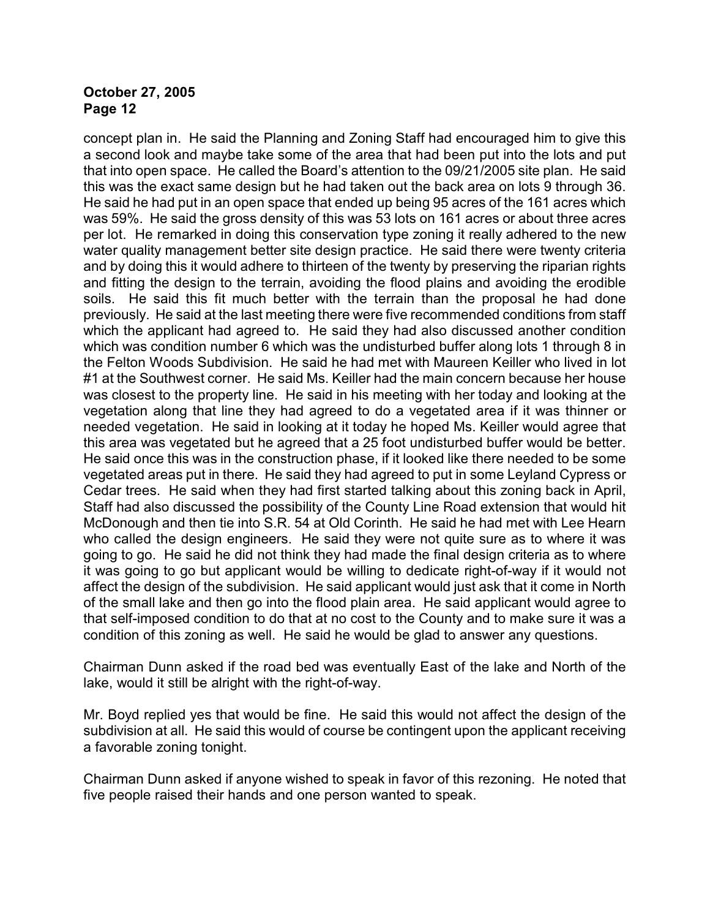concept plan in. He said the Planning and Zoning Staff had encouraged him to give this a second look and maybe take some of the area that had been put into the lots and put that into open space. He called the Board's attention to the 09/21/2005 site plan. He said this was the exact same design but he had taken out the back area on lots 9 through 36. He said he had put in an open space that ended up being 95 acres of the 161 acres which was 59%. He said the gross density of this was 53 lots on 161 acres or about three acres per lot. He remarked in doing this conservation type zoning it really adhered to the new water quality management better site design practice. He said there were twenty criteria and by doing this it would adhere to thirteen of the twenty by preserving the riparian rights and fitting the design to the terrain, avoiding the flood plains and avoiding the erodible soils. He said this fit much better with the terrain than the proposal he had done previously. He said at the last meeting there were five recommended conditions from staff which the applicant had agreed to. He said they had also discussed another condition which was condition number 6 which was the undisturbed buffer along lots 1 through 8 in the Felton Woods Subdivision. He said he had met with Maureen Keiller who lived in lot #1 at the Southwest corner. He said Ms. Keiller had the main concern because her house was closest to the property line. He said in his meeting with her today and looking at the vegetation along that line they had agreed to do a vegetated area if it was thinner or needed vegetation. He said in looking at it today he hoped Ms. Keiller would agree that this area was vegetated but he agreed that a 25 foot undisturbed buffer would be better. He said once this was in the construction phase, if it looked like there needed to be some vegetated areas put in there. He said they had agreed to put in some Leyland Cypress or Cedar trees. He said when they had first started talking about this zoning back in April, Staff had also discussed the possibility of the County Line Road extension that would hit McDonough and then tie into S.R. 54 at Old Corinth. He said he had met with Lee Hearn who called the design engineers. He said they were not quite sure as to where it was going to go. He said he did not think they had made the final design criteria as to where it was going to go but applicant would be willing to dedicate right-of-way if it would not affect the design of the subdivision. He said applicant would just ask that it come in North of the small lake and then go into the flood plain area. He said applicant would agree to that self-imposed condition to do that at no cost to the County and to make sure it was a condition of this zoning as well. He said he would be glad to answer any questions.

Chairman Dunn asked if the road bed was eventually East of the lake and North of the lake, would it still be alright with the right-of-way.

Mr. Boyd replied yes that would be fine. He said this would not affect the design of the subdivision at all. He said this would of course be contingent upon the applicant receiving a favorable zoning tonight.

Chairman Dunn asked if anyone wished to speak in favor of this rezoning. He noted that five people raised their hands and one person wanted to speak.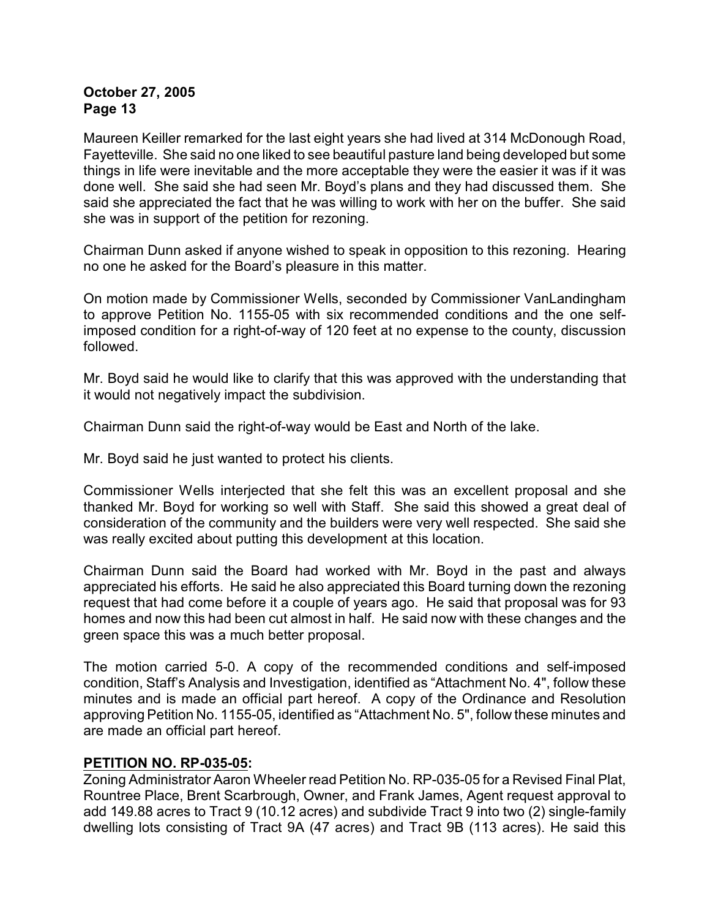Maureen Keiller remarked for the last eight years she had lived at 314 McDonough Road, Fayetteville. She said no one liked to see beautiful pasture land being developed but some things in life were inevitable and the more acceptable they were the easier it was if it was done well. She said she had seen Mr. Boyd's plans and they had discussed them. She said she appreciated the fact that he was willing to work with her on the buffer. She said she was in support of the petition for rezoning.

Chairman Dunn asked if anyone wished to speak in opposition to this rezoning. Hearing no one he asked for the Board's pleasure in this matter.

On motion made by Commissioner Wells, seconded by Commissioner VanLandingham to approve Petition No. 1155-05 with six recommended conditions and the one selfimposed condition for a right-of-way of 120 feet at no expense to the county, discussion followed.

Mr. Boyd said he would like to clarify that this was approved with the understanding that it would not negatively impact the subdivision.

Chairman Dunn said the right-of-way would be East and North of the lake.

Mr. Boyd said he just wanted to protect his clients.

Commissioner Wells interjected that she felt this was an excellent proposal and she thanked Mr. Boyd for working so well with Staff. She said this showed a great deal of consideration of the community and the builders were very well respected. She said she was really excited about putting this development at this location.

Chairman Dunn said the Board had worked with Mr. Boyd in the past and always appreciated his efforts. He said he also appreciated this Board turning down the rezoning request that had come before it a couple of years ago. He said that proposal was for 93 homes and now this had been cut almost in half. He said now with these changes and the green space this was a much better proposal.

The motion carried 5-0. A copy of the recommended conditions and self-imposed condition, Staff's Analysis and Investigation, identified as "Attachment No. 4", follow these minutes and is made an official part hereof. A copy of the Ordinance and Resolution approving Petition No. 1155-05, identified as "Attachment No. 5", follow these minutes and are made an official part hereof.

#### **PETITION NO. RP-035-05:**

Zoning Administrator Aaron Wheeler read Petition No. RP-035-05 for a Revised Final Plat, Rountree Place, Brent Scarbrough, Owner, and Frank James, Agent request approval to add 149.88 acres to Tract 9 (10.12 acres) and subdivide Tract 9 into two (2) single-family dwelling lots consisting of Tract 9A (47 acres) and Tract 9B (113 acres). He said this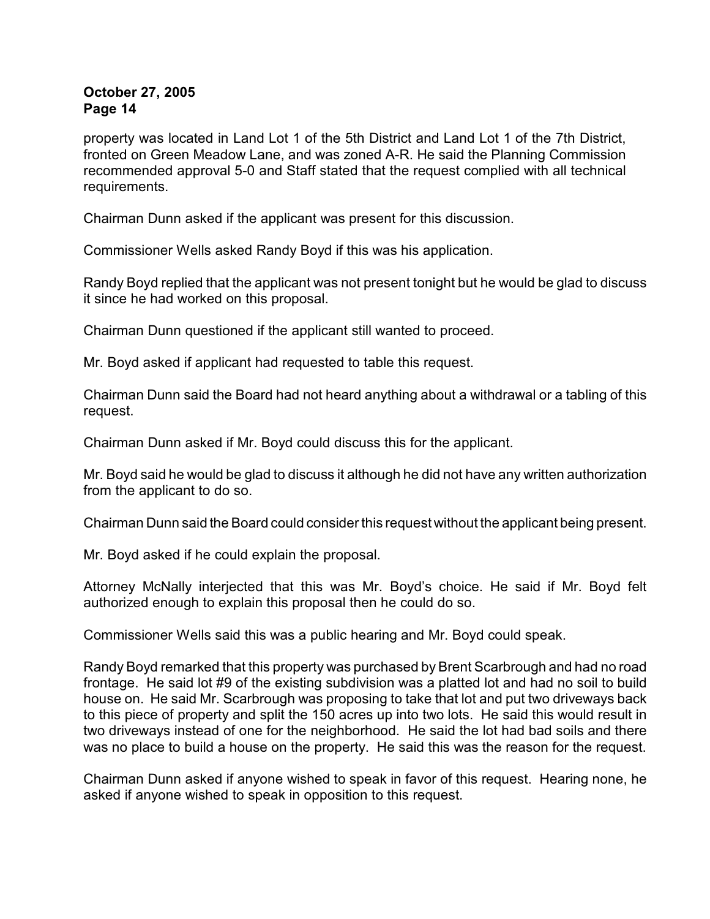property was located in Land Lot 1 of the 5th District and Land Lot 1 of the 7th District, fronted on Green Meadow Lane, and was zoned A-R. He said the Planning Commission recommended approval 5-0 and Staff stated that the request complied with all technical requirements.

Chairman Dunn asked if the applicant was present for this discussion.

Commissioner Wells asked Randy Boyd if this was his application.

Randy Boyd replied that the applicant was not present tonight but he would be glad to discuss it since he had worked on this proposal.

Chairman Dunn questioned if the applicant still wanted to proceed.

Mr. Boyd asked if applicant had requested to table this request.

Chairman Dunn said the Board had not heard anything about a withdrawal or a tabling of this request.

Chairman Dunn asked if Mr. Boyd could discuss this for the applicant.

Mr. Boyd said he would be glad to discuss it although he did not have any written authorization from the applicant to do so.

Chairman Dunn said the Board could consider this request without the applicant being present.

Mr. Boyd asked if he could explain the proposal.

Attorney McNally interjected that this was Mr. Boyd's choice. He said if Mr. Boyd felt authorized enough to explain this proposal then he could do so.

Commissioner Wells said this was a public hearing and Mr. Boyd could speak.

Randy Boyd remarked that this property was purchased by Brent Scarbrough and had no road frontage. He said lot #9 of the existing subdivision was a platted lot and had no soil to build house on. He said Mr. Scarbrough was proposing to take that lot and put two driveways back to this piece of property and split the 150 acres up into two lots. He said this would result in two driveways instead of one for the neighborhood. He said the lot had bad soils and there was no place to build a house on the property. He said this was the reason for the request.

Chairman Dunn asked if anyone wished to speak in favor of this request. Hearing none, he asked if anyone wished to speak in opposition to this request.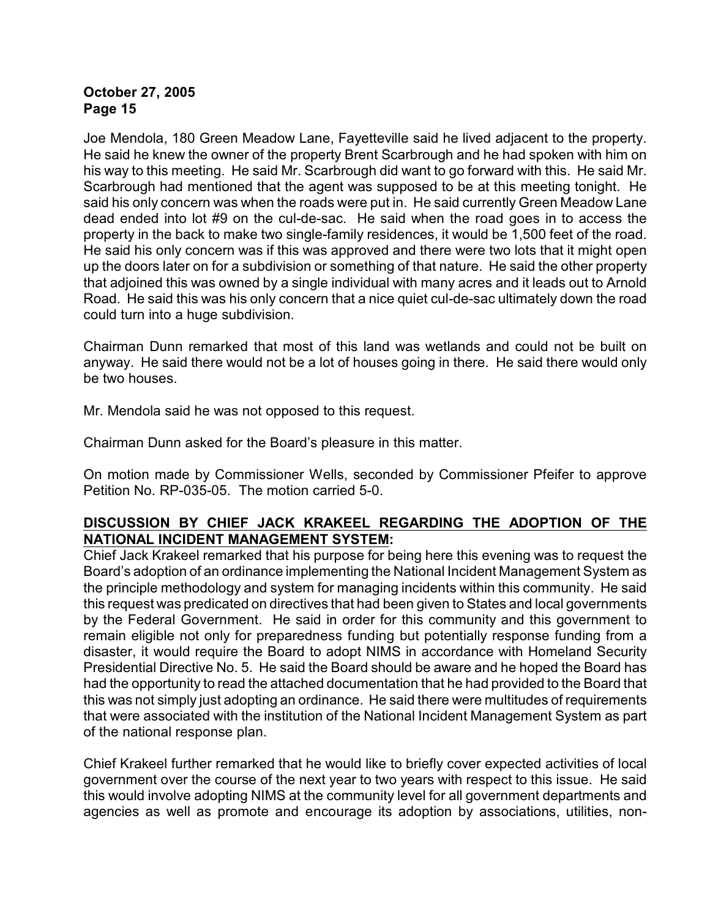Joe Mendola, 180 Green Meadow Lane, Fayetteville said he lived adjacent to the property. He said he knew the owner of the property Brent Scarbrough and he had spoken with him on his way to this meeting. He said Mr. Scarbrough did want to go forward with this. He said Mr. Scarbrough had mentioned that the agent was supposed to be at this meeting tonight. He said his only concern was when the roads were put in. He said currently Green Meadow Lane dead ended into lot #9 on the cul-de-sac. He said when the road goes in to access the property in the back to make two single-family residences, it would be 1,500 feet of the road. He said his only concern was if this was approved and there were two lots that it might open up the doors later on for a subdivision or something of that nature. He said the other property that adjoined this was owned by a single individual with many acres and it leads out to Arnold Road. He said this was his only concern that a nice quiet cul-de-sac ultimately down the road could turn into a huge subdivision.

Chairman Dunn remarked that most of this land was wetlands and could not be built on anyway. He said there would not be a lot of houses going in there. He said there would only be two houses.

Mr. Mendola said he was not opposed to this request.

Chairman Dunn asked for the Board's pleasure in this matter.

On motion made by Commissioner Wells, seconded by Commissioner Pfeifer to approve Petition No. RP-035-05. The motion carried 5-0.

## **DISCUSSION BY CHIEF JACK KRAKEEL REGARDING THE ADOPTION OF THE NATIONAL INCIDENT MANAGEMENT SYSTEM:**

Chief Jack Krakeel remarked that his purpose for being here this evening was to request the Board's adoption of an ordinance implementing the National Incident Management System as the principle methodology and system for managing incidents within this community. He said this request was predicated on directives that had been given to States and local governments by the Federal Government. He said in order for this community and this government to remain eligible not only for preparedness funding but potentially response funding from a disaster, it would require the Board to adopt NIMS in accordance with Homeland Security Presidential Directive No. 5. He said the Board should be aware and he hoped the Board has had the opportunity to read the attached documentation that he had provided to the Board that this was not simply just adopting an ordinance. He said there were multitudes of requirements that were associated with the institution of the National Incident Management System as part of the national response plan.

Chief Krakeel further remarked that he would like to briefly cover expected activities of local government over the course of the next year to two years with respect to this issue. He said this would involve adopting NIMS at the community level for all government departments and agencies as well as promote and encourage its adoption by associations, utilities, non-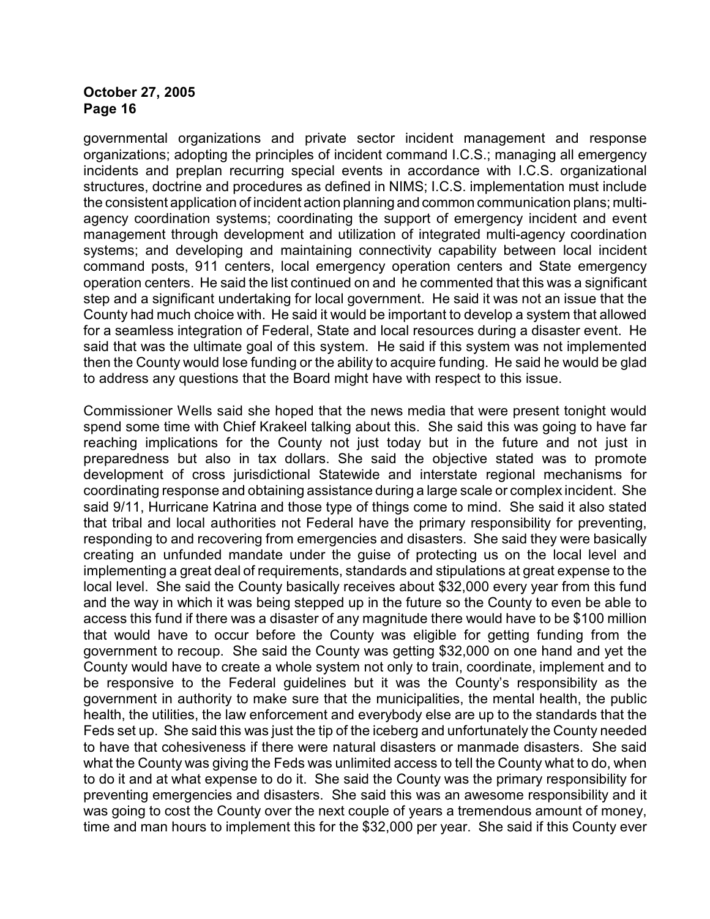governmental organizations and private sector incident management and response organizations; adopting the principles of incident command I.C.S.; managing all emergency incidents and preplan recurring special events in accordance with I.C.S. organizational structures, doctrine and procedures as defined in NIMS; I.C.S. implementation must include the consistent application of incident action planning and common communication plans; multiagency coordination systems; coordinating the support of emergency incident and event management through development and utilization of integrated multi-agency coordination systems; and developing and maintaining connectivity capability between local incident command posts, 911 centers, local emergency operation centers and State emergency operation centers. He said the list continued on and he commented that this was a significant step and a significant undertaking for local government. He said it was not an issue that the County had much choice with. He said it would be important to develop a system that allowed for a seamless integration of Federal, State and local resources during a disaster event. He said that was the ultimate goal of this system. He said if this system was not implemented then the County would lose funding or the ability to acquire funding. He said he would be glad to address any questions that the Board might have with respect to this issue.

Commissioner Wells said she hoped that the news media that were present tonight would spend some time with Chief Krakeel talking about this. She said this was going to have far reaching implications for the County not just today but in the future and not just in preparedness but also in tax dollars. She said the objective stated was to promote development of cross jurisdictional Statewide and interstate regional mechanisms for coordinating response and obtaining assistance during a large scale or complex incident. She said 9/11, Hurricane Katrina and those type of things come to mind. She said it also stated that tribal and local authorities not Federal have the primary responsibility for preventing, responding to and recovering from emergencies and disasters. She said they were basically creating an unfunded mandate under the guise of protecting us on the local level and implementing a great deal of requirements, standards and stipulations at great expense to the local level. She said the County basically receives about \$32,000 every year from this fund and the way in which it was being stepped up in the future so the County to even be able to access this fund if there was a disaster of any magnitude there would have to be \$100 million that would have to occur before the County was eligible for getting funding from the government to recoup. She said the County was getting \$32,000 on one hand and yet the County would have to create a whole system not only to train, coordinate, implement and to be responsive to the Federal guidelines but it was the County's responsibility as the government in authority to make sure that the municipalities, the mental health, the public health, the utilities, the law enforcement and everybody else are up to the standards that the Feds set up. She said this was just the tip of the iceberg and unfortunately the County needed to have that cohesiveness if there were natural disasters or manmade disasters. She said what the County was giving the Feds was unlimited access to tell the County what to do, when to do it and at what expense to do it. She said the County was the primary responsibility for preventing emergencies and disasters. She said this was an awesome responsibility and it was going to cost the County over the next couple of years a tremendous amount of money, time and man hours to implement this for the \$32,000 per year. She said if this County ever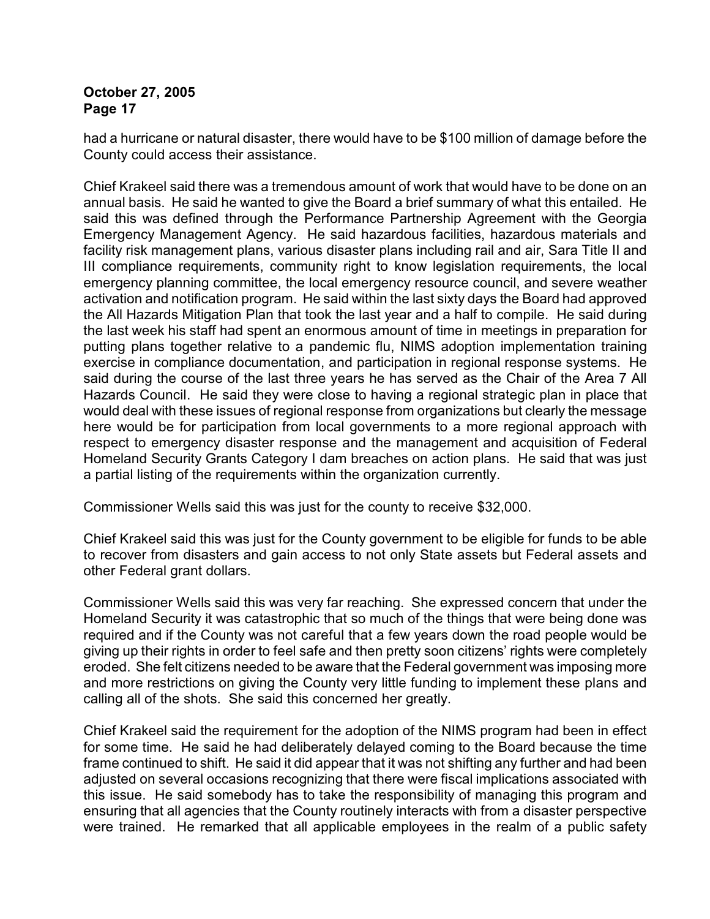had a hurricane or natural disaster, there would have to be \$100 million of damage before the County could access their assistance.

Chief Krakeel said there was a tremendous amount of work that would have to be done on an annual basis. He said he wanted to give the Board a brief summary of what this entailed. He said this was defined through the Performance Partnership Agreement with the Georgia Emergency Management Agency. He said hazardous facilities, hazardous materials and facility risk management plans, various disaster plans including rail and air, Sara Title II and III compliance requirements, community right to know legislation requirements, the local emergency planning committee, the local emergency resource council, and severe weather activation and notification program. He said within the last sixty days the Board had approved the All Hazards Mitigation Plan that took the last year and a half to compile. He said during the last week his staff had spent an enormous amount of time in meetings in preparation for putting plans together relative to a pandemic flu, NIMS adoption implementation training exercise in compliance documentation, and participation in regional response systems. He said during the course of the last three years he has served as the Chair of the Area 7 All Hazards Council. He said they were close to having a regional strategic plan in place that would deal with these issues of regional response from organizations but clearly the message here would be for participation from local governments to a more regional approach with respect to emergency disaster response and the management and acquisition of Federal Homeland Security Grants Category I dam breaches on action plans. He said that was just a partial listing of the requirements within the organization currently.

Commissioner Wells said this was just for the county to receive \$32,000.

Chief Krakeel said this was just for the County government to be eligible for funds to be able to recover from disasters and gain access to not only State assets but Federal assets and other Federal grant dollars.

Commissioner Wells said this was very far reaching. She expressed concern that under the Homeland Security it was catastrophic that so much of the things that were being done was required and if the County was not careful that a few years down the road people would be giving up their rights in order to feel safe and then pretty soon citizens' rights were completely eroded. She felt citizens needed to be aware that the Federal government was imposing more and more restrictions on giving the County very little funding to implement these plans and calling all of the shots. She said this concerned her greatly.

Chief Krakeel said the requirement for the adoption of the NIMS program had been in effect for some time. He said he had deliberately delayed coming to the Board because the time frame continued to shift. He said it did appear that it was not shifting any further and had been adjusted on several occasions recognizing that there were fiscal implications associated with this issue. He said somebody has to take the responsibility of managing this program and ensuring that all agencies that the County routinely interacts with from a disaster perspective were trained. He remarked that all applicable employees in the realm of a public safety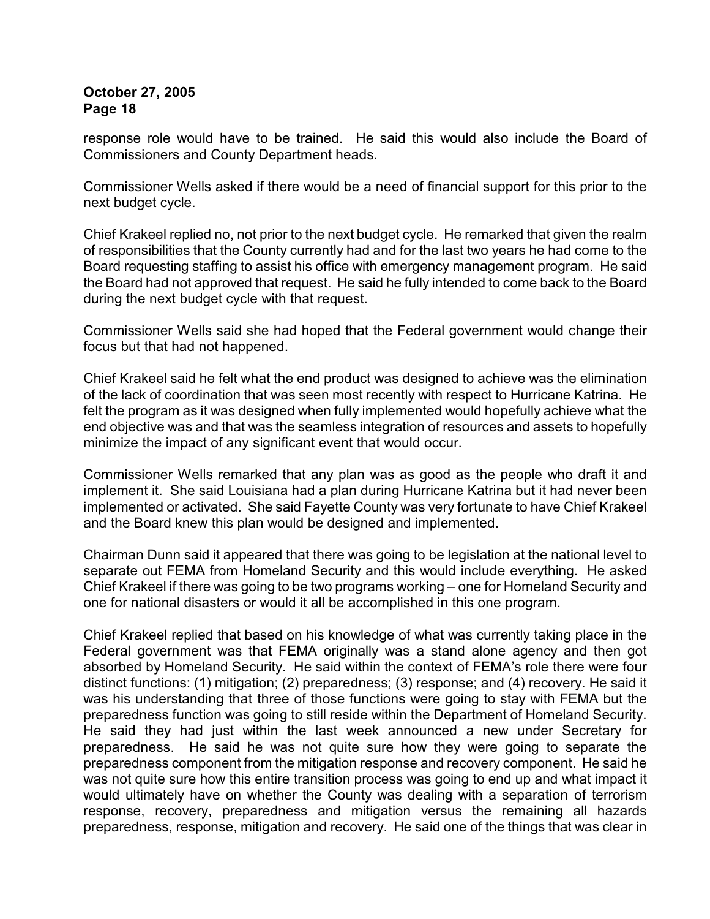response role would have to be trained. He said this would also include the Board of Commissioners and County Department heads.

Commissioner Wells asked if there would be a need of financial support for this prior to the next budget cycle.

Chief Krakeel replied no, not prior to the next budget cycle. He remarked that given the realm of responsibilities that the County currently had and for the last two years he had come to the Board requesting staffing to assist his office with emergency management program. He said the Board had not approved that request. He said he fully intended to come back to the Board during the next budget cycle with that request.

Commissioner Wells said she had hoped that the Federal government would change their focus but that had not happened.

Chief Krakeel said he felt what the end product was designed to achieve was the elimination of the lack of coordination that was seen most recently with respect to Hurricane Katrina. He felt the program as it was designed when fully implemented would hopefully achieve what the end objective was and that was the seamless integration of resources and assets to hopefully minimize the impact of any significant event that would occur.

Commissioner Wells remarked that any plan was as good as the people who draft it and implement it. She said Louisiana had a plan during Hurricane Katrina but it had never been implemented or activated. She said Fayette County was very fortunate to have Chief Krakeel and the Board knew this plan would be designed and implemented.

Chairman Dunn said it appeared that there was going to be legislation at the national level to separate out FEMA from Homeland Security and this would include everything. He asked Chief Krakeel if there was going to be two programs working – one for Homeland Security and one for national disasters or would it all be accomplished in this one program.

Chief Krakeel replied that based on his knowledge of what was currently taking place in the Federal government was that FEMA originally was a stand alone agency and then got absorbed by Homeland Security. He said within the context of FEMA's role there were four distinct functions: (1) mitigation; (2) preparedness; (3) response; and (4) recovery. He said it was his understanding that three of those functions were going to stay with FEMA but the preparedness function was going to still reside within the Department of Homeland Security. He said they had just within the last week announced a new under Secretary for preparedness. He said he was not quite sure how they were going to separate the preparedness component from the mitigation response and recovery component. He said he was not quite sure how this entire transition process was going to end up and what impact it would ultimately have on whether the County was dealing with a separation of terrorism response, recovery, preparedness and mitigation versus the remaining all hazards preparedness, response, mitigation and recovery. He said one of the things that was clear in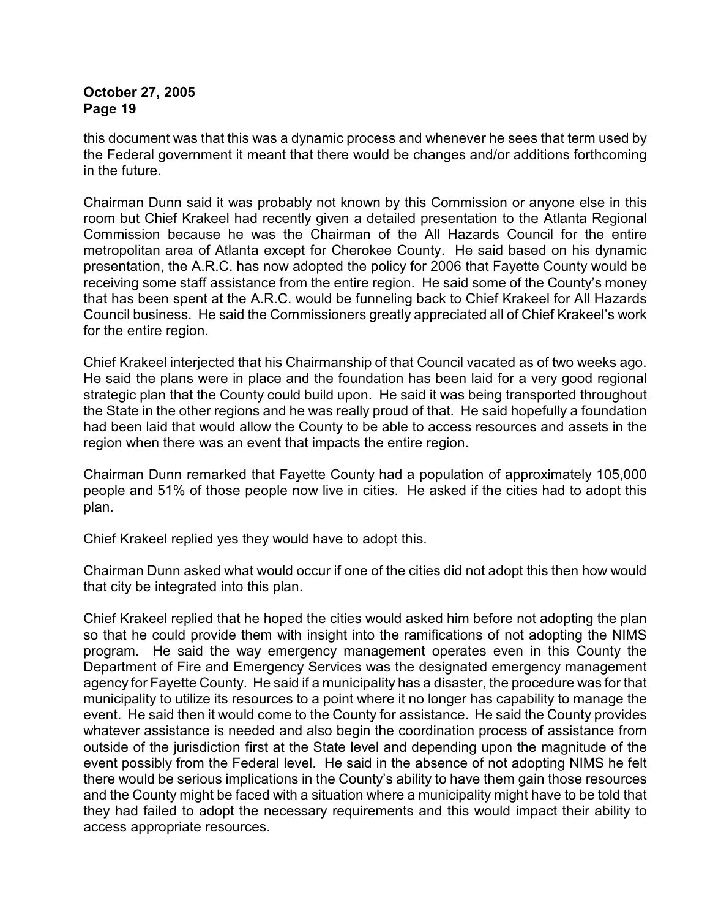this document was that this was a dynamic process and whenever he sees that term used by the Federal government it meant that there would be changes and/or additions forthcoming in the future.

Chairman Dunn said it was probably not known by this Commission or anyone else in this room but Chief Krakeel had recently given a detailed presentation to the Atlanta Regional Commission because he was the Chairman of the All Hazards Council for the entire metropolitan area of Atlanta except for Cherokee County. He said based on his dynamic presentation, the A.R.C. has now adopted the policy for 2006 that Fayette County would be receiving some staff assistance from the entire region. He said some of the County's money that has been spent at the A.R.C. would be funneling back to Chief Krakeel for All Hazards Council business. He said the Commissioners greatly appreciated all of Chief Krakeel's work for the entire region.

Chief Krakeel interjected that his Chairmanship of that Council vacated as of two weeks ago. He said the plans were in place and the foundation has been laid for a very good regional strategic plan that the County could build upon. He said it was being transported throughout the State in the other regions and he was really proud of that. He said hopefully a foundation had been laid that would allow the County to be able to access resources and assets in the region when there was an event that impacts the entire region.

Chairman Dunn remarked that Fayette County had a population of approximately 105,000 people and 51% of those people now live in cities. He asked if the cities had to adopt this plan.

Chief Krakeel replied yes they would have to adopt this.

Chairman Dunn asked what would occur if one of the cities did not adopt this then how would that city be integrated into this plan.

Chief Krakeel replied that he hoped the cities would asked him before not adopting the plan so that he could provide them with insight into the ramifications of not adopting the NIMS program. He said the way emergency management operates even in this County the Department of Fire and Emergency Services was the designated emergency management agency for Fayette County. He said if a municipality has a disaster, the procedure was for that municipality to utilize its resources to a point where it no longer has capability to manage the event. He said then it would come to the County for assistance. He said the County provides whatever assistance is needed and also begin the coordination process of assistance from outside of the jurisdiction first at the State level and depending upon the magnitude of the event possibly from the Federal level. He said in the absence of not adopting NIMS he felt there would be serious implications in the County's ability to have them gain those resources and the County might be faced with a situation where a municipality might have to be told that they had failed to adopt the necessary requirements and this would impact their ability to access appropriate resources.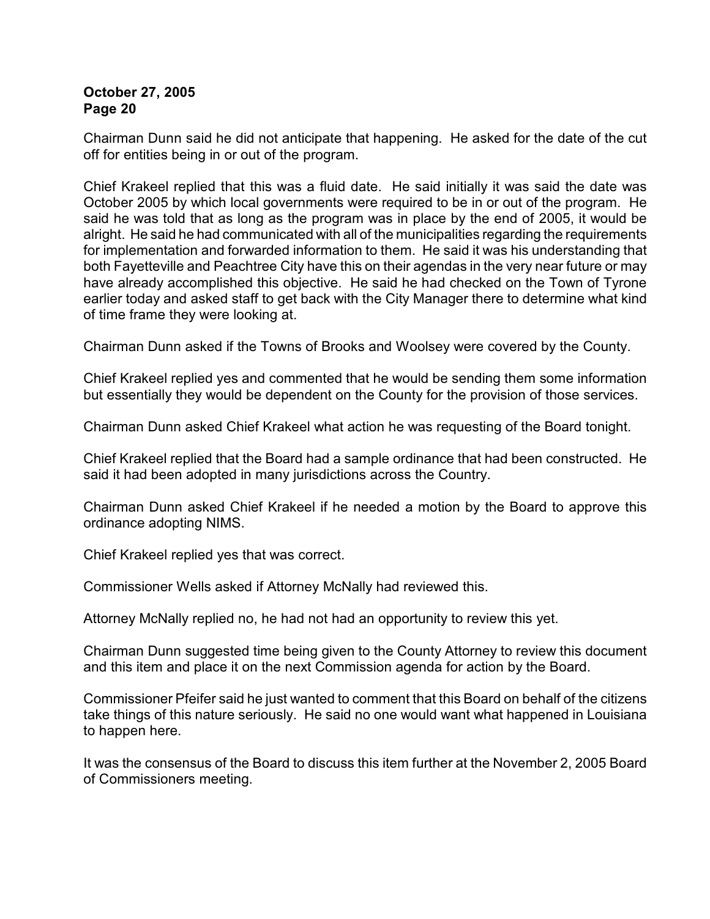Chairman Dunn said he did not anticipate that happening. He asked for the date of the cut off for entities being in or out of the program.

Chief Krakeel replied that this was a fluid date. He said initially it was said the date was October 2005 by which local governments were required to be in or out of the program. He said he was told that as long as the program was in place by the end of 2005, it would be alright. He said he had communicated with all of the municipalities regarding the requirements for implementation and forwarded information to them. He said it was his understanding that both Fayetteville and Peachtree City have this on their agendas in the very near future or may have already accomplished this objective. He said he had checked on the Town of Tyrone earlier today and asked staff to get back with the City Manager there to determine what kind of time frame they were looking at.

Chairman Dunn asked if the Towns of Brooks and Woolsey were covered by the County.

Chief Krakeel replied yes and commented that he would be sending them some information but essentially they would be dependent on the County for the provision of those services.

Chairman Dunn asked Chief Krakeel what action he was requesting of the Board tonight.

Chief Krakeel replied that the Board had a sample ordinance that had been constructed. He said it had been adopted in many jurisdictions across the Country.

Chairman Dunn asked Chief Krakeel if he needed a motion by the Board to approve this ordinance adopting NIMS.

Chief Krakeel replied yes that was correct.

Commissioner Wells asked if Attorney McNally had reviewed this.

Attorney McNally replied no, he had not had an opportunity to review this yet.

Chairman Dunn suggested time being given to the County Attorney to review this document and this item and place it on the next Commission agenda for action by the Board.

Commissioner Pfeifer said he just wanted to comment that this Board on behalf of the citizens take things of this nature seriously. He said no one would want what happened in Louisiana to happen here.

It was the consensus of the Board to discuss this item further at the November 2, 2005 Board of Commissioners meeting.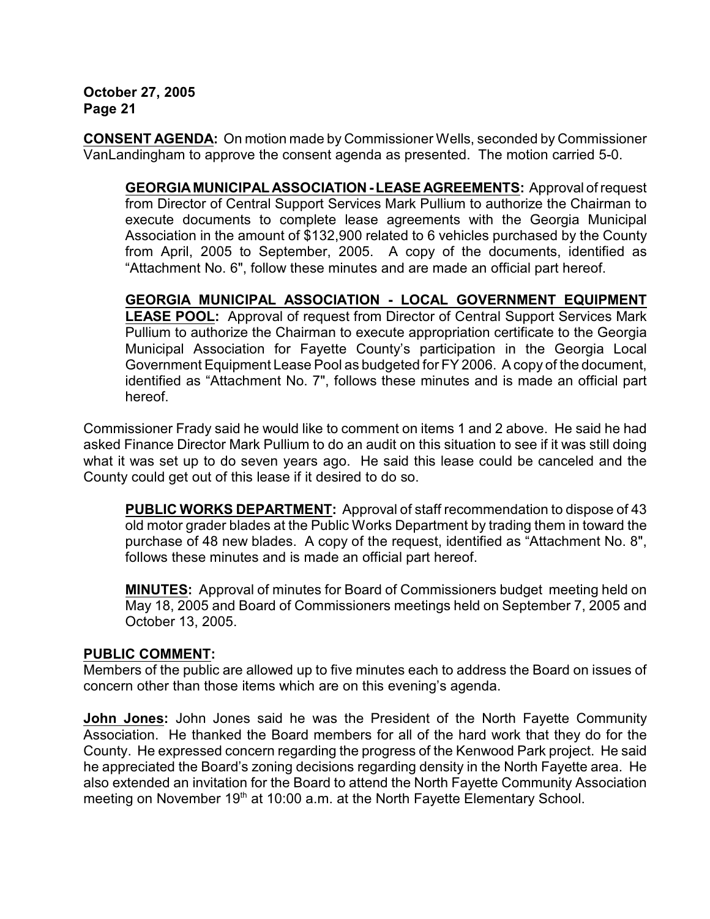**CONSENT AGENDA:** On motion made by Commissioner Wells, seconded by Commissioner VanLandingham to approve the consent agenda as presented. The motion carried 5-0.

**GEORGIA MUNICIPAL ASSOCIATION - LEASE AGREEMENTS:** Approval of request from Director of Central Support Services Mark Pullium to authorize the Chairman to execute documents to complete lease agreements with the Georgia Municipal Association in the amount of \$132,900 related to 6 vehicles purchased by the County from April, 2005 to September, 2005. A copy of the documents, identified as "Attachment No. 6", follow these minutes and are made an official part hereof.

**GEORGIA MUNICIPAL ASSOCIATION - LOCAL GOVERNMENT EQUIPMENT LEASE POOL:** Approval of request from Director of Central Support Services Mark Pullium to authorize the Chairman to execute appropriation certificate to the Georgia Municipal Association for Fayette County's participation in the Georgia Local Government Equipment Lease Pool as budgeted for FY 2006. A copy of the document, identified as "Attachment No. 7", follows these minutes and is made an official part hereof.

Commissioner Frady said he would like to comment on items 1 and 2 above. He said he had asked Finance Director Mark Pullium to do an audit on this situation to see if it was still doing what it was set up to do seven years ago. He said this lease could be canceled and the County could get out of this lease if it desired to do so.

**PUBLIC WORKS DEPARTMENT:** Approval of staff recommendation to dispose of 43 old motor grader blades at the Public Works Department by trading them in toward the purchase of 48 new blades. A copy of the request, identified as "Attachment No. 8", follows these minutes and is made an official part hereof.

**MINUTES:** Approval of minutes for Board of Commissioners budget meeting held on May 18, 2005 and Board of Commissioners meetings held on September 7, 2005 and October 13, 2005.

## **PUBLIC COMMENT:**

Members of the public are allowed up to five minutes each to address the Board on issues of concern other than those items which are on this evening's agenda.

**John Jones:** John Jones said he was the President of the North Fayette Community Association. He thanked the Board members for all of the hard work that they do for the County. He expressed concern regarding the progress of the Kenwood Park project. He said he appreciated the Board's zoning decisions regarding density in the North Fayette area. He also extended an invitation for the Board to attend the North Fayette Community Association meeting on November 19<sup>th</sup> at 10:00 a.m. at the North Fayette Elementary School.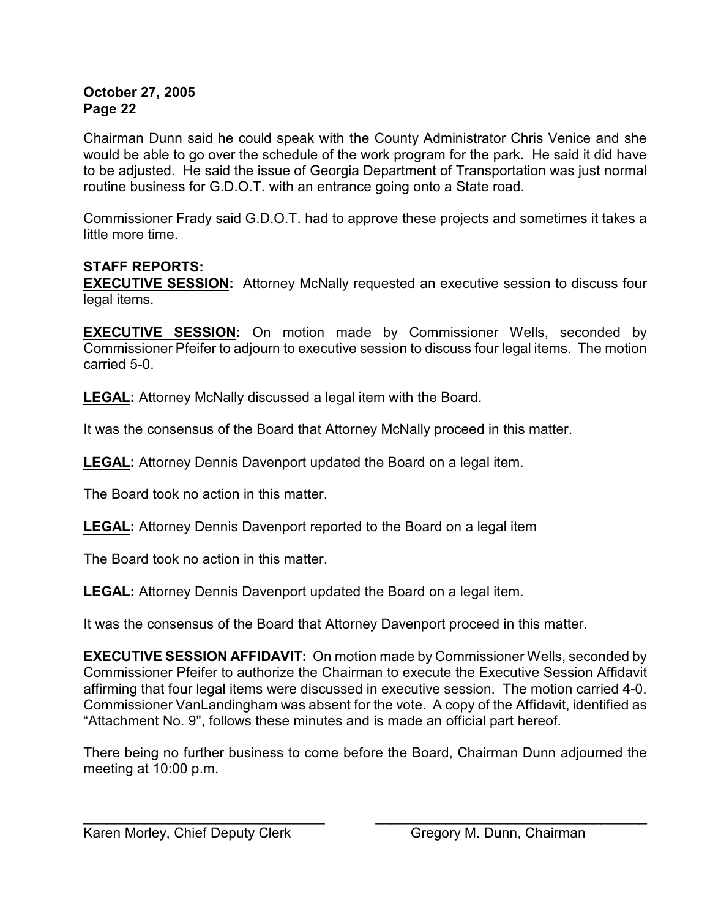Chairman Dunn said he could speak with the County Administrator Chris Venice and she would be able to go over the schedule of the work program for the park. He said it did have to be adjusted. He said the issue of Georgia Department of Transportation was just normal routine business for G.D.O.T. with an entrance going onto a State road.

Commissioner Frady said G.D.O.T. had to approve these projects and sometimes it takes a little more time.

# **STAFF REPORTS:**

**EXECUTIVE SESSION:** Attorney McNally requested an executive session to discuss four legal items.

**EXECUTIVE SESSION:** On motion made by Commissioner Wells, seconded by Commissioner Pfeifer to adjourn to executive session to discuss four legal items. The motion carried 5-0.

**LEGAL:** Attorney McNally discussed a legal item with the Board.

It was the consensus of the Board that Attorney McNally proceed in this matter.

**LEGAL:** Attorney Dennis Davenport updated the Board on a legal item.

The Board took no action in this matter.

**LEGAL:** Attorney Dennis Davenport reported to the Board on a legal item

The Board took no action in this matter.

**LEGAL:** Attorney Dennis Davenport updated the Board on a legal item.

It was the consensus of the Board that Attorney Davenport proceed in this matter.

**EXECUTIVE SESSION AFFIDAVIT:** On motion made by Commissioner Wells, seconded by Commissioner Pfeifer to authorize the Chairman to execute the Executive Session Affidavit affirming that four legal items were discussed in executive session. The motion carried 4-0. Commissioner VanLandingham was absent for the vote. A copy of the Affidavit, identified as "Attachment No. 9", follows these minutes and is made an official part hereof.

There being no further business to come before the Board, Chairman Dunn adjourned the meeting at 10:00 p.m.

 $\overline{\phantom{a}}$  , and the contribution of the contribution of  $\overline{\phantom{a}}$  , and  $\overline{\phantom{a}}$  , and  $\overline{\phantom{a}}$  , and  $\overline{\phantom{a}}$  , and  $\overline{\phantom{a}}$  , and  $\overline{\phantom{a}}$  , and  $\overline{\phantom{a}}$  , and  $\overline{\phantom{a}}$  , and  $\overline{\phantom{a}}$  , and